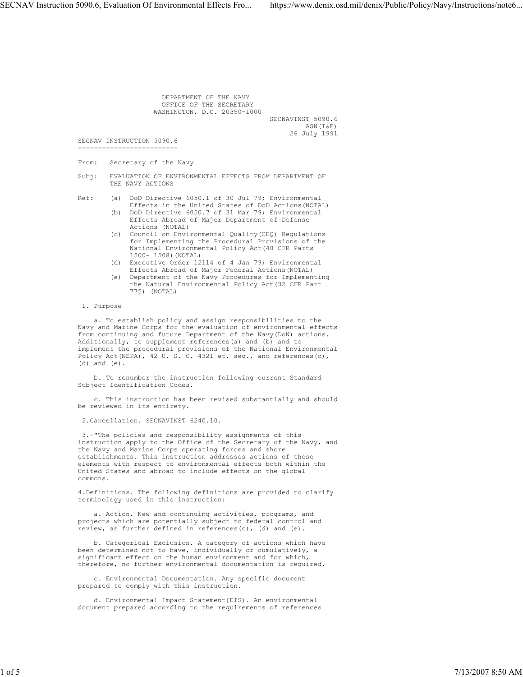DEPARTMENT OF THE NAVY OFFICE OF THE SECRETARY WASHINGTON, D.C. 20350-1000 SECNAVINST 5090.6<br>ASN(I&E) ASN(I&E) 26 July 1991

SECNAV INSTRUCTION 5090.6 -------------------------

From: Secretary of the Navy

Subj: EVALUATION OF ENVIRONMENTAL EFFECTS FROM DEPARTMENT OF THE NAVY ACTIONS

Ref: (a) DoD Directive 6050.1 of 30 Jul 79; Environmental Effects in the United States of DoD Actions(NOTAL)

- (b) DoD Directive 6050.7 of 31 Mar 79; Environmental Effects Abroad of Major Department of Defense Actions (NOTAL)
- (c) Council on Environmental Quality(CEQ) Regulations for Implementing the Procedural Provisions of the National Environmental Policy Act(40 CFR Parts 1500- 1508)(NOTAL)
- (d) Executive Order 12114 of 4 Jan 79; Environmental Effects Abroad of Major Federal Actions(NOTAL)
- (e) Department of the Navy Procedures for Implementing the Natural Environmental Policy Act(32 CFR Part 775) (NOTAL)

## 1. Purpose

 a. To establish policy and assign responsibilities to the Navy and Marine Corps for the evaluation of environmental effects from continuing and future Department of the Navy(DoN) actions. Additionally, to supplement references(a) and (b) and to implement the procedural provisions of the National Environmental Policy Act (NEPA), 42 U. S. C. 4321 et. seq., and references(c), (d) and (e).

 b. To renumber the instruction following current Standard Subject Identification Codes.

 c. This instruction has been revised substantially and should be reviewed in its entirety.

2.Cancellation. SECNAVINST 6240.10.

 3.-"The policies and responsibility assignments of this instruction apply to the Office of the Secretary of the Navy, and the Navy and Marine Corps operating forces and shore establishments. This instruction addresses actions of these elements with respect to environmental effects both within the United States and abroad to include effects on the global commons.

4.Definitions. The following definitions are provided to clarify terminology used in this instruction:

 a. Action. New and continuing activities, programs, and projects which are potentially subject to federal control and review, as further defined in references(c), (d) and (e).

 b. Categorical Exclusion. A category of actions which have been determined not to have, individually or cumulatively, a significant effect on the human environment and for which, therefore, no further environmental documentation is required.

 c. Environmental Documentation. Any specific document prepared to comply with this instruction.

 d. Environmental Impact Statement[EIS). An environmental document prepared according to the requirements of references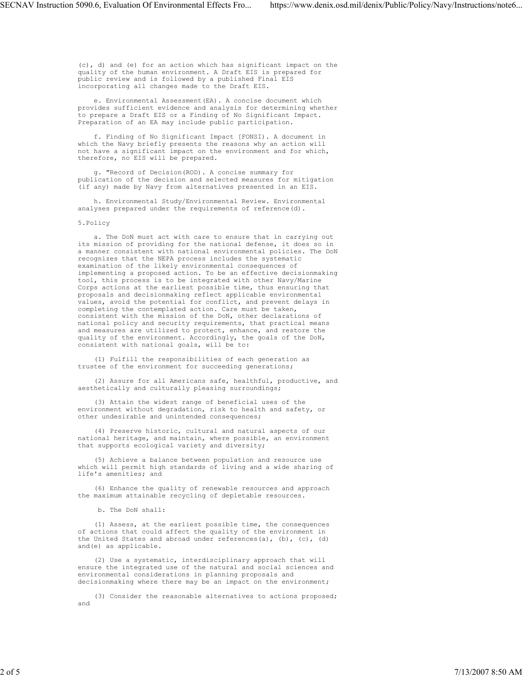(c), d) and (e) for an action which has significant impact on the quality of the human environment. A Draft EIS is prepared for public review and is followed by a published Final EIS incorporating all changes made to the Draft EIS.

 e. Environmental Assessment(EA). A concise document which provides sufficient evidence and analysis for determining whether to prepare a Draft EIS or a Finding of No Significant Impact. Preparation of an EA may include public participation.

 f. Finding of No Significant Impact [FONSI). A document in which the Navy briefly presents the reasons why an action will not have a significant impact on the environment and for which, therefore, no EIS will be prepared.

 g. "Record of Decision(ROD). A concise summary for publication of the decision and selected measures for mitigation (if any) made by Navy from alternatives presented in an EIS.

 h. Environmental Study/Environmental Review. Environmental analyses prepared under the requirements of reference(d).

## 5.Policy

 a. The DoN must act with care to ensure that in carrying out its mission of providing for the national defense, it does so in a manner consistent with national environmental policies. The DoN recognizes that the NEPA process includes the systematic examination of the likely environmental consequences of implementing a proposed action. To be an effective decisionmaking tool, this process is to be integrated with other Navy/Marine Corps actions at the earliest possible time, thus ensuring that proposals and decisionmaking reflect applicable environmental values, avoid the potential for conflict, and prevent delays in completing the contemplated action. Care must be taken, consistent with the mission of the DoN, other declarations of national policy and security requirements, that practical means and measures are utilized to protect, enhance, and restore the quality of the environment. Accordingly, the goals of the DoN, consistent with national goals, will be to:

 (1) Fulfill the responsibilities of each generation as trustee of the environment for succeeding generations;

 (2) Assure for all Americans safe, healthful, productive, and aesthetically and culturally pleasing surroundings;

 (3) Attain the widest range of beneficial uses of the environment without degradation, risk to health and safety, or other undesirable and unintended consequences;

 (4) Preserve historic, cultural and natural aspects of our national heritage, and maintain, where possible, an environment that supports ecological variety and diversity;

 (5) Achieve a balance between population and resource use which will permit high standards of living and a wide sharing of life's amenities; and

 (6) Enhance the quality of renewable resources and approach the maximum attainable recycling of depletable resources.

b. The DoN shall:

 (1) Assess, at the earliest possible time, the consequences of actions that could affect the quality of the environment in the United States and abroad under references(a), (b), (c), (d) and(e) as applicable.

 (2) Use a systematic, interdisciplinary approach that will ensure the integrated use of the natural and social sciences and environmental considerations in planning proposals and decisionmaking where there may be an impact on the environment;

 (3) Consider the reasonable alternatives to actions proposed; and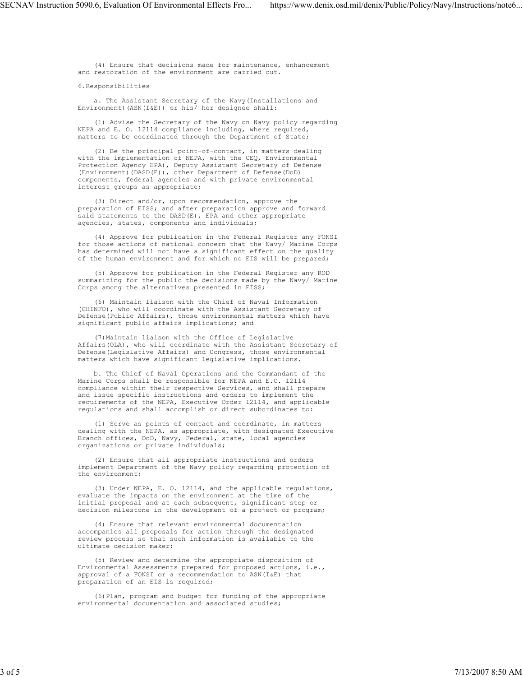(4) Ensure that decisions made for maintenance, enhancement and restoration of the environment are carried out.

6.Responsibilities

 a. The Assistant Secretary of the Navy(Installations and Environment)(ASN(I&E)) or his/ her designee shall:

 (1) Advise the Secretary of the Navy on Navy policy regarding NEPA and E. O. 12114 compliance including, where required, matters to be coordinated through the Department of State;

 (2) Be the principal point-of-contact, in matters dealing with the implementation of NEPA, with the CEQ, Environmental Protection Agency EPA), Deputy Assistant Secretary of Defense (Environment)(DASD(E)), other Department of Defense(DoD) components, federal agencies and with private environmental interest groups as appropriate;

 (3) Direct and/or, upon recommendation, approve the preparation of EISS; and after preparation approve and forward said statements to the DASD(E), EPA and other appropriate agencies, states, components and individuals;

 (4) Approve for publication in the Federal Register any FONSI for those actions of national concern that the Navy/ Marine Corps has determined will not have a significant effect on the quality of the human environment and for which no EIS will be prepared;

 (5) Approve for publication in the Federal Register any ROD summarizing for the public the decisions made by the Navy/ Marine Corps among the alternatives presented in EISS;

 (6) Maintain liaison with the Chief of Naval Information (CHINFO), who will coordinate with the Assistant Secretary of Defense(Public Affairs), those environmental matters which have significant public affairs implications; and

 (7)Maintain liaison with the Office of Legislative Affairs(OLA), who will coordinate with the Assistant Secretary of Defense(Legislative Affairs) and Congress, those environmental matters which have significant legislative implications.

 b. The Chief of Naval Operations and the Commandant of the Marine Corps shall be responsible for NEPA and E.O. 12114 compliance within their respective Services, and shall prepare and issue specific instructions and orders to implement the requirements of the NEPA, Executive Order 12114, and applicable regulations and shall accomplish or direct subordinates to:

 (1) Serve as points of contact and coordinate, in matters dealing with the NEPA, as appropriate, with designated Executive Branch offices, DoD, Navy, Federal, state, local agencies organizations or private individuals;

 (2) Ensure that all appropriate instructions and orders implement Department of the Navy policy regarding protection of the environment;

 (3) Under NEPA, E. O. 12114, and the applicable regulations, evaluate the impacts on the environment at the time of the initial proposal and at each subsequent, significant step or decision milestone in the development of a project or program;

 (4) Ensure that relevant environmental documentation accompanies all proposals for action through the designated review process so that such information is available to the ultimate decision maker;

 (5) Review and determine the appropriate disposition of Environmental Assessments prepared for proposed actions, i.e., approval of a FONSI or a recommendation to ASN(I&E) that preparation of an EIS is required;

 (6)Plan, program and budget for funding of the appropriate environmental documentation and associated studies;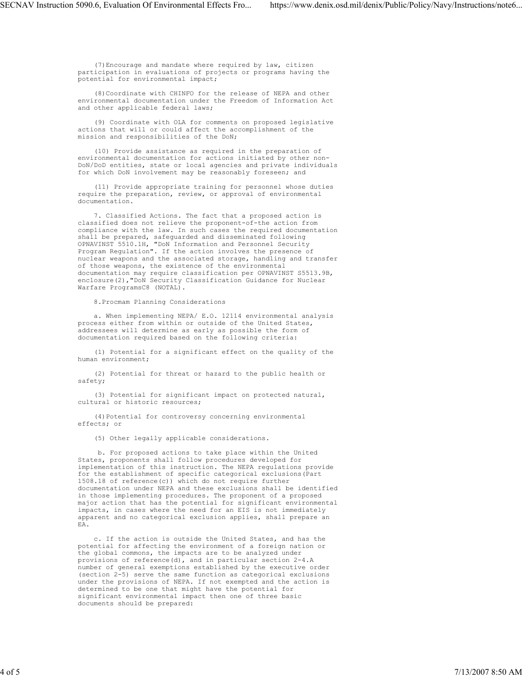(7)Encourage and mandate where required by law, citizen participation in evaluations of projects or programs having the potential for environmental impact;

 (8)Coordinate with CHINFO for the release of NEPA and other environmental documentation under the Freedom of Information Act and other applicable federal laws;

 (9) Coordinate with OLA for comments on proposed legislative actions that will or could affect the accomplishment of the mission and responsibilities of the DoN;

 (10) Provide assistance as required in the preparation of environmental documentation for actions initiated by other non-DoN/DoD entities, state or local agencies and private individuals for which DoN involvement may be reasonably foreseen; and

 (11) Provide appropriate training for personnel whose duties require the preparation, review, or approval of environmental documentation.

 7. Classified Actions. The fact that a proposed action is classified does not relieve the proponent-of-the action from compliance with the law. In such cases the required documentation shall be prepared, safeguarded and disseminated following OPNAVINST 5510.1H, "DoN Information and Personnel Security Program Regulation". If the action involves the presence of nuclear weapons and the associated storage, handling and transfer of those weapons, the existence of the environmental documentation may require classification per OPNAVINST S5513.9B, enclosure(2),"DoN Security Classification Guidance for Nuclear Warfare ProgramsC8 (NOTAL).

8.Procmam Planning Considerations

 a. When implementing NEPA/ E.O. 12114 environmental analysis process either from within or outside of the United States, addressees will determine as early as possible the form of documentation required based on the following criteria:

 (1) Potential for a significant effect on the quality of the human environment;

 (2) Potential for threat or hazard to the public health or safety;

 (3) Potential for significant impact on protected natural, cultural or historic resources;

 (4)Potential for controversy concerning environmental effects; or

(5) Other legally applicable considerations.

 b. For proposed actions to take place within the United States, proponents shall follow procedures developed for implementation of this instruction. The NEPA regulations provide for the establishment of specific categorical exclusions(Part 1508.18 of reference(c)) which do not require further documentation under NEPA and these exclusions shall be identified in those implementing procedures. The proponent of a proposed major action that has the potential for significant environmental impacts, in cases where the need for an EIS is not immediately apparent and no categorical exclusion applies, shall prepare an EA.

 c. If the action is outside the United States, and has the potential for affecting the environment of a foreign nation or the global commons, the impacts are to be analyzed under provisions of reference(d), and in particular section 2-4.A number of general exemptions established by the executive order (section 2-5) serve the same function as categorical exclusions under the provisions of NEPA. If not exempted and the action is determined to be one that might have the potential for significant environmental impact then one of three basic documents should be prepared: